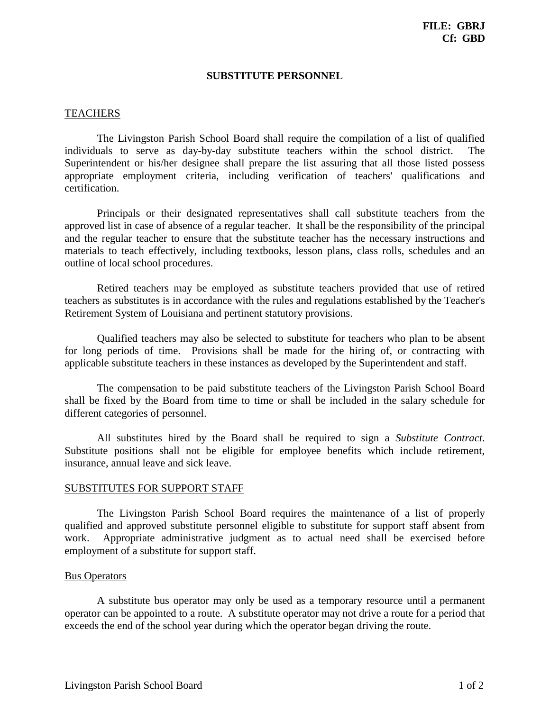## **SUBSTITUTE PERSONNEL**

## TEACHERS

The Livingston Parish School Board shall require the compilation of a list of qualified individuals to serve as day-by-day substitute teachers within the school district. The Superintendent or his/her designee shall prepare the list assuring that all those listed possess appropriate employment criteria, including verification of teachers' qualifications and certification.

Principals or their designated representatives shall call substitute teachers from the approved list in case of absence of a regular teacher. It shall be the responsibility of the principal and the regular teacher to ensure that the substitute teacher has the necessary instructions and materials to teach effectively, including textbooks, lesson plans, class rolls, schedules and an outline of local school procedures.

Retired teachers may be employed as substitute teachers provided that use of retired teachers as substitutes is in accordance with the rules and regulations established by the Teacher's Retirement System of Louisiana and pertinent statutory provisions.

Qualified teachers may also be selected to substitute for teachers who plan to be absent for long periods of time. Provisions shall be made for the hiring of, or contracting with applicable substitute teachers in these instances as developed by the Superintendent and staff.

The compensation to be paid substitute teachers of the Livingston Parish School Board shall be fixed by the Board from time to time or shall be included in the salary schedule for different categories of personnel.

All substitutes hired by the Board shall be required to sign a *Substitute Contract*. Substitute positions shall not be eligible for employee benefits which include retirement, insurance, annual leave and sick leave.

## SUBSTITUTES FOR SUPPORT STAFF

The Livingston Parish School Board requires the maintenance of a list of properly qualified and approved substitute personnel eligible to substitute for support staff absent from work. Appropriate administrative judgment as to actual need shall be exercised before employment of a substitute for support staff.

## Bus Operators

A substitute bus operator may only be used as a temporary resource until a permanent operator can be appointed to a route. A substitute operator may not drive a route for a period that exceeds the end of the school year during which the operator began driving the route.